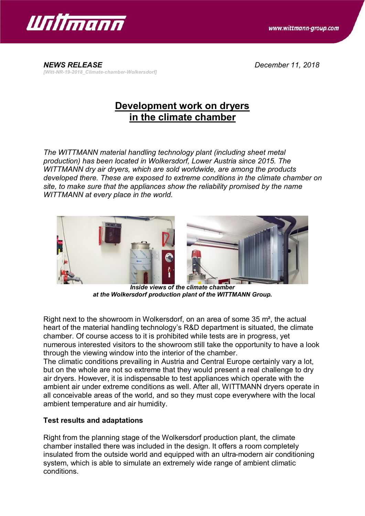



*NEWS RELEASE December 11, 2018 [Witt-NR-19-2018\_Climate-chamber-Wolkersdorf]*

## **Development work on dryers in the climate chamber**

*The WITTMANN material handling technology plant (including sheet metal production) has been located in Wolkersdorf, Lower Austria since 2015. The WITTMANN dry air dryers, which are sold worldwide, are among the products developed there. These are exposed to extreme conditions in the climate chamber on site, to make sure that the appliances show the reliability promised by the name WITTMANN at every place in the world.*



*Inside views of the climate chamber at the Wolkersdorf production plant of the WITTMANN Group.*

Right next to the showroom in Wolkersdorf, on an area of some 35 m², the actual heart of the material handling technology's R&D department is situated, the climate chamber. Of course access to it is prohibited while tests are in progress, yet numerous interested visitors to the showroom still take the opportunity to have a look through the viewing window into the interior of the chamber.

The climatic conditions prevailing in Austria and Central Europe certainly vary a lot, but on the whole are not so extreme that they would present a real challenge to dry air dryers. However, it is indispensable to test appliances which operate with the ambient air under extreme conditions as well. After all, WITTMANN dryers operate in all conceivable areas of the world, and so they must cope everywhere with the local ambient temperature and air humidity.

## **Test results and adaptations**

Right from the planning stage of the Wolkersdorf production plant, the climate chamber installed there was included in the design. It offers a room completely insulated from the outside world and equipped with an ultra-modern air conditioning system, which is able to simulate an extremely wide range of ambient climatic conditions.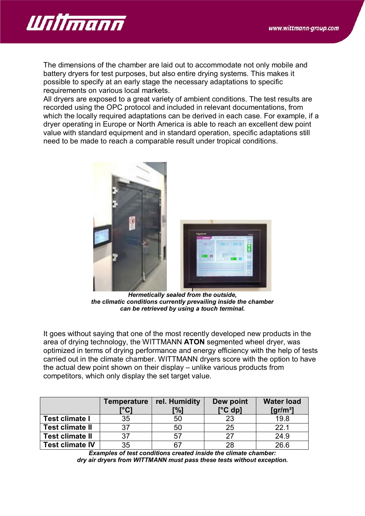

The dimensions of the chamber are laid out to accommodate not only mobile and battery dryers for test purposes, but also entire drying systems. This makes it possible to specify at an early stage the necessary adaptations to specific requirements on various local markets.

All dryers are exposed to a great variety of ambient conditions. The test results are recorded using the OPC protocol and included in relevant documentations, from which the locally required adaptations can be derived in each case. For example, if a dryer operating in Europe or North America is able to reach an excellent dew point value with standard equipment and in standard operation, specific adaptations still need to be made to reach a comparable result under tropical conditions.



*Hermetically sealed from the outside, the climatic conditions currently prevailing inside the chamber can be retrieved by using a touch terminal.*

It goes without saying that one of the most recently developed new products in the area of drying technology, the WITTMANN **ATON** segmented wheel dryer, was optimized in terms of drying performance and energy efficiency with the help of tests carried out in the climate chamber. WITTMANN dryers score with the option to have the actual dew point shown on their display – unlike various products from competitors, which only display the set target value.

|                        | <b>Temperature</b><br>[°C] | rel. Humidity<br>[%] | Dew point<br>$[°C$ dp] | <b>Water load</b><br>$\left[\frac{\text{gr}}{\text{m}^3}\right]$ |
|------------------------|----------------------------|----------------------|------------------------|------------------------------------------------------------------|
| <b>Test climate I</b>  | 35                         | 50                   | 23                     | 19.8                                                             |
| <b>Test climate II</b> | 37                         | 50                   | 25                     | 22.1                                                             |
| <b>Test climate II</b> | 37                         | 57                   | 27                     | 24.9                                                             |
| <b>Test climate IV</b> | 35                         | 67                   | 28                     | 26.6                                                             |

*Examples of test conditions created inside the climate chamber: dry air dryers from WITTMANN must pass these tests without exception.*